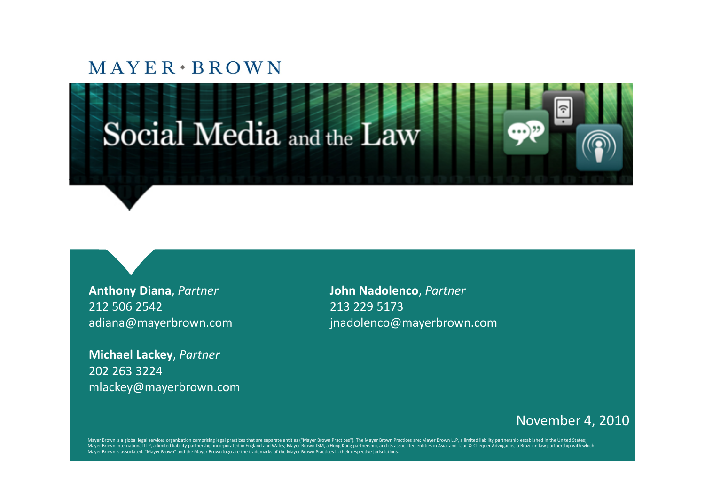



**Anthony Diana**, *Partner* **John Nadolenco**, *Partner* 212 506 2542 213 229 5173

**Michael Lackey**, *Partner* 202 263 3224 mlackey@mayerbrown.com

adiana@mayerbrown.com jnadolenco@mayerbrown.com

#### November 4, 2010

Mayer Brown is a global legal services organization comprising legal practices that are separate entities ("Mayer Brown Practices"). The Mayer Brown Practices are: Mayer Brown LLP, a limited liability partnership establish Mayer Brown International LLP, a limited liability partnership incorporated in England and Wales; Mayer Brown JSM, a Hong Kong partnership, and its associated entities in Asia; and Tauil & Chequer Advogados, a Brazilian la Mayer Brown is associated. "Mayer Brown" and the Mayer Brown logo are the trademarks of the Mayer Brown Practices in their respective jurisdictions.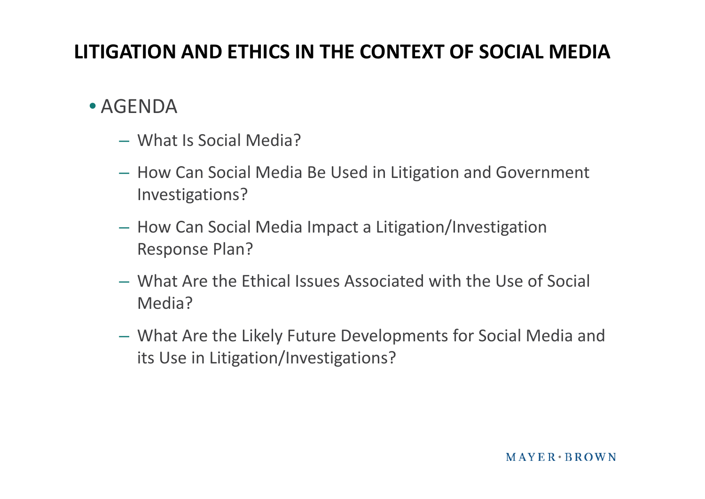#### **LITIGATION AND ETHICS IN THE CONTEXT OF SOCIAL MEDIA**

#### • AGENDA

- What Is Social Media?
- How Can Social Media Be Used in Litigation and Government Investigations?
- How Can Social Media Impact a Litigation/Investigation Response Plan?
- What Are the Ethical Issues Associated with the Use of Social Media?
- What Are the Likely Future Developments for Social Media and its Use in Litigation/Investigations?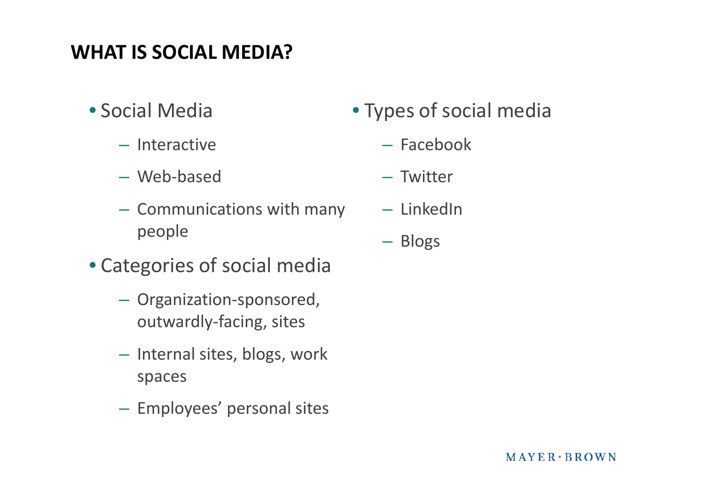- Social Media
	- Interactive
	- Web-based
	- Communications with many people
- Categories of social media
	- Organization-sponsored, outwardly-facing, sites
	- Internal sites, blogs, work spaces
	- Employees' personal sites
- Types of social media
	- Facebook
	- Twitter
	- LinkedIn
	- Blogs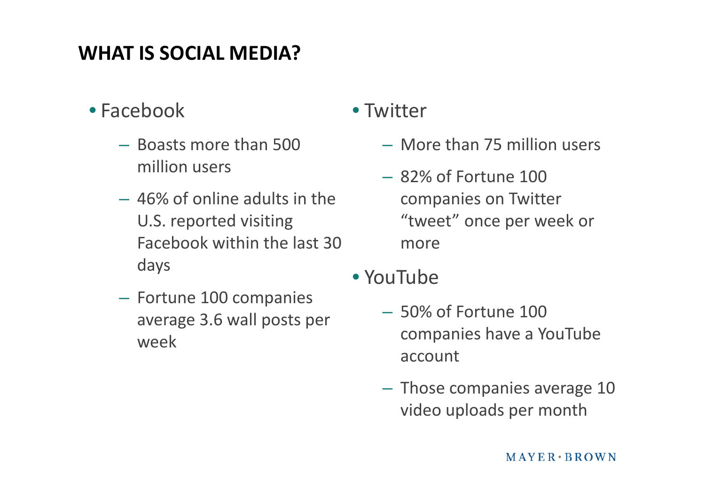- Facebook
	- Boasts more than 500 million users
	- 46% of online adults in the U.S. reported visiting Facebook within the last 30 days
	- Fortune 100 companies average 3.6 wall posts per week

#### • Twitter

- More than 75 million users
- $-82\%$  of Fortune 100 companies on Twitter "tweet" once per week or more
- YouTube
	- 50% of Fortune 100 companies have a YouTube account
	- Those companies average 10 video uploads per month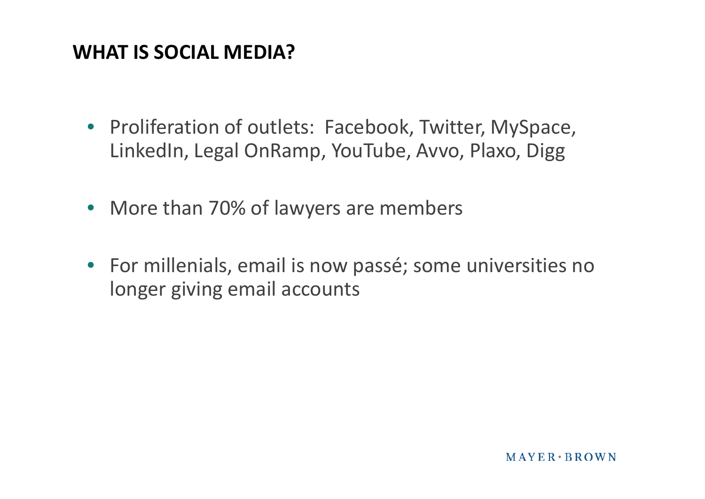- Proliferation of outlets: Facebook, Twitter, MySpace, LinkedIn, Legal OnRamp, YouTube, Avvo, Plaxo, Digg
- More than 70% of lawyers are members
- For millenials, email is now passé; some universities no longer giving email accounts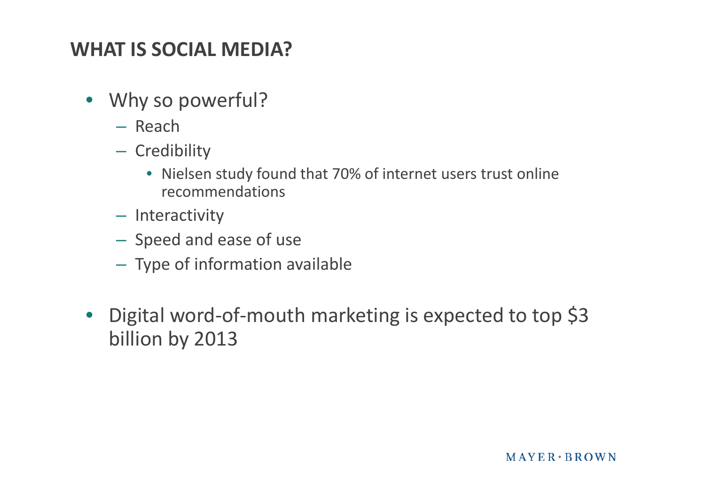- Why so powerful?
	- Reach
	- Credibility
		- Nielsen study found that 70% of internet users trust online recommendations
	- Interactivity
	- Speed and ease of use
	- Type of information available
- Digital word-of-mouth marketing is expected to top \$3 billion by 2013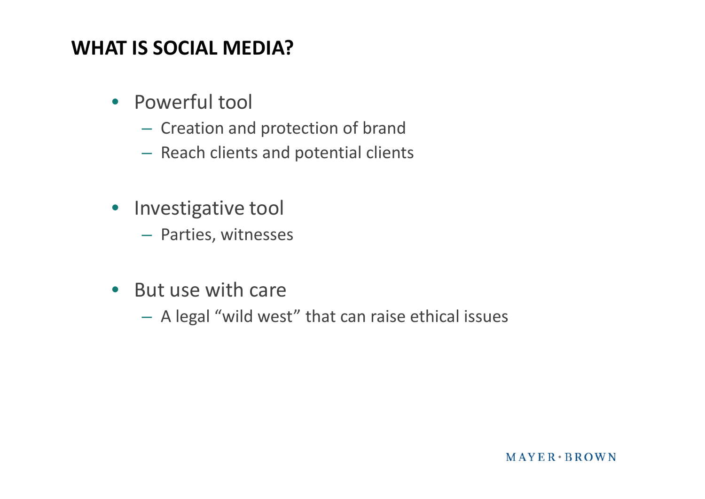- Powerful tool
	- Creation and protection of brand
	- Reach clients and potential clients
- Investigative tool
	- Parties, witnesses
- But use with care
	- A legal "wild west" that can raise ethical issues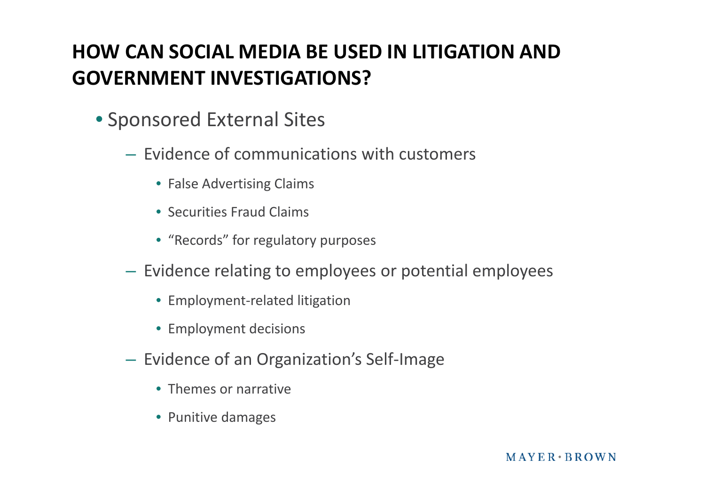#### **HOW CAN SOCIAL MEDIA BE USED IN LITIGATION AND GOVERNMENT INVESTIGATIONS?**

- Sponsored External Sites
	- Evidence of communications with customers
		- False Advertising Claims
		- Securities Fraud Claims
		- "Records" for regulatory purposes
	- Evidence relating to employees or potential employees
		- Employment-related litigation
		- Employment decisions
	- Evidence of an Organization's Self-Image
		- Themes or narrative
		- Punitive damages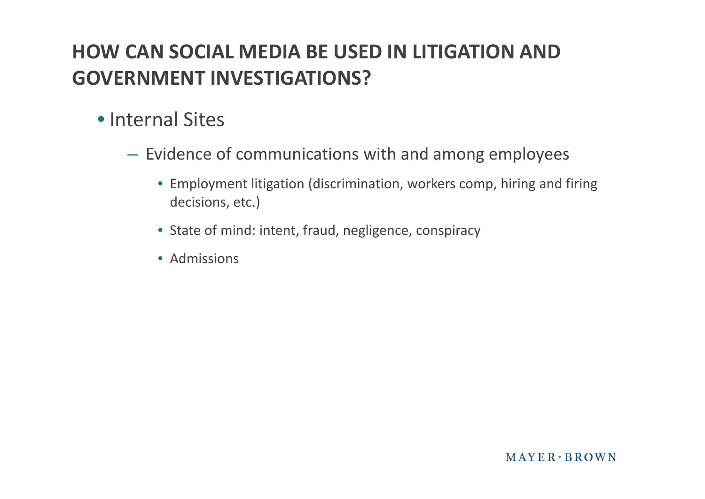#### **HOW CAN SOCIAL MEDIA BE USED IN LITIGATION AND GOVERNMENT INVESTIGATIONS?**

- Internal Sites
	- Evidence of communications with and among employees
		- Employment litigation (discrimination, workers comp, hiring and firing decisions, etc.)
		- State of mind: intent, fraud, negligence, conspiracy
		- Admissions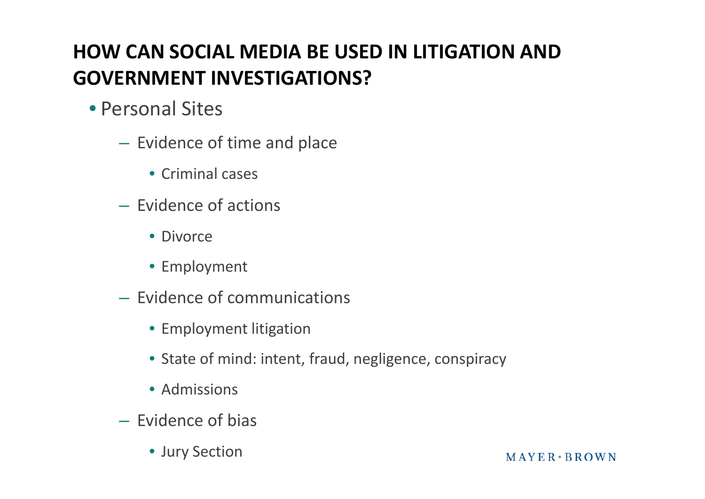# **HOW CAN SOCIAL MEDIA BE USED IN LITIGATION AND GOVERNMENT INVESTIGATIONS?**

- Personal Sites
	- Evidence of time and place
		- Criminal cases
	- Evidence of actions
		- Divorce
		- Employment
	- Evidence of communications
		- Employment litigation
		- State of mind: intent, fraud, negligence, conspiracy
		- Admissions
	- Evidence of bias
		- Jury Section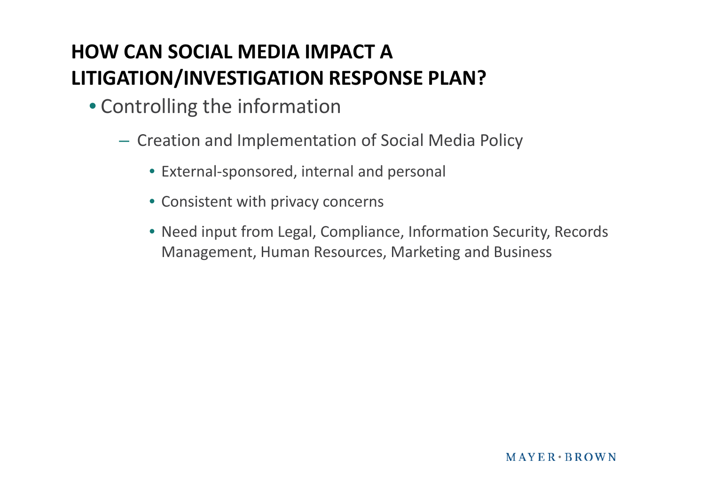- Controlling the information
	- Creation and Implementation of Social Media Policy
		- External-sponsored, internal and personal
		- Consistent with privacy concerns
		- Need input from Legal, Compliance, Information Security, Records Management, Human Resources, Marketing and Business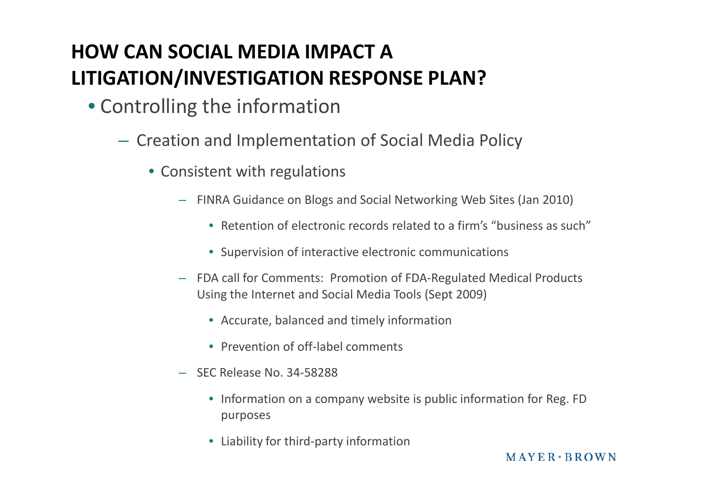- Controlling the information
	- Creation and Implementation of Social Media Policy
		- Consistent with regulations
			- FINRA Guidance on Blogs and Social Networking Web Sites (Jan 2010)
				- Retention of electronic records related to a firm's "business as such"
				- Supervision of interactive electronic communications
			- FDA call for Comments: Promotion of FDA-Regulated Medical Products Using the Internet and Social Media Tools (Sept 2009)
				- Accurate, balanced and timely information
				- Prevention of off-label comments
			- SEC Release No. 34-58288
				- Information on a company website is public information for Reg. FD purposes
				- Liability for third-party information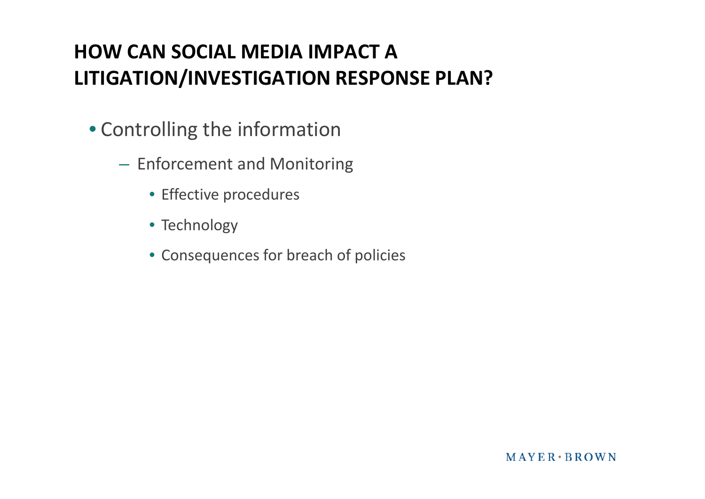- Controlling the information
	- Enforcement and Monitoring
		- Effective procedures
		- Technology
		- Consequences for breach of policies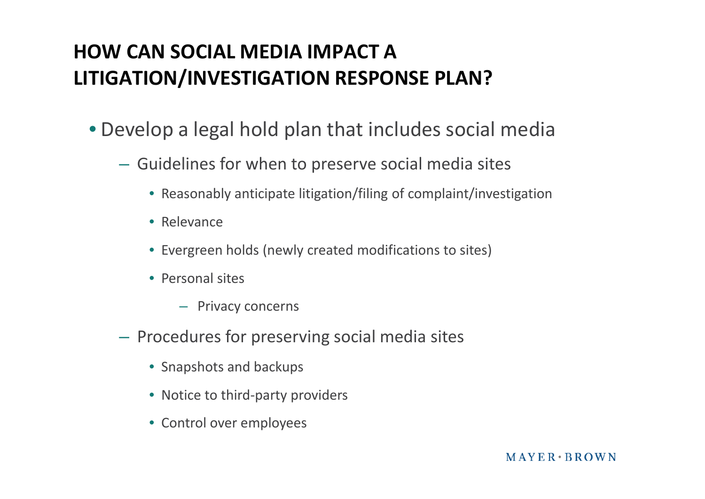- Develop a legal hold plan that includes social media
	- Guidelines for when to preserve social media sites
		- Reasonably anticipate litigation/filing of complaint/investigation
		- Relevance
		- Evergreen holds (newly created modifications to sites)
		- Personal sites
			- Privacy concerns
	- Procedures for preserving social media sites
		- Snapshots and backups
		- Notice to third-party providers
		- Control over employees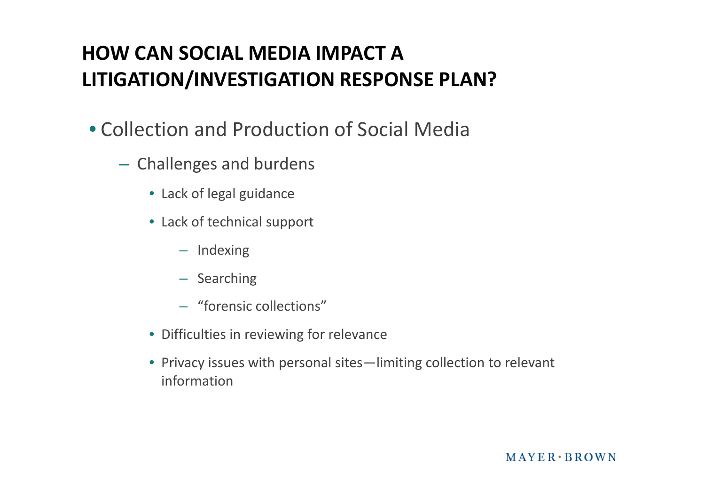- Collection and Production of Social Media
	- Challenges and burdens
		- Lack of legal guidance
		- Lack of technical support
			- Indexing
			- Searching
			- "forensic collections"
		- Difficulties in reviewing for relevance
		- Privacy issues with personal sites—limiting collection to relevant information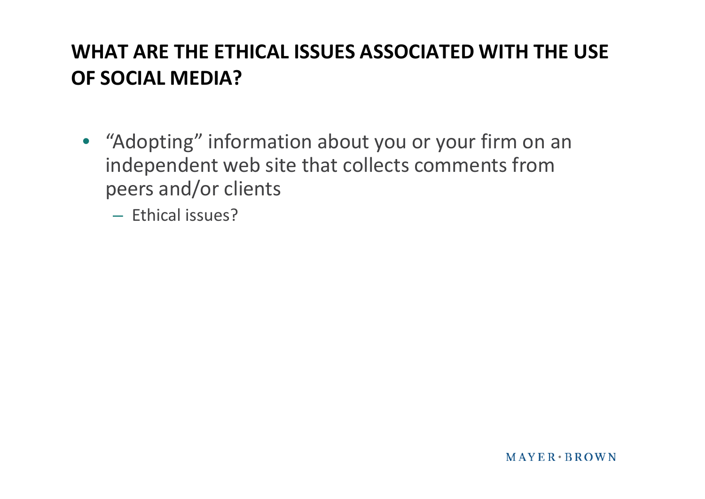• "Adopting" information about you or your firm on an independent web site that collects comments from peers and/or clients

– Ethical issues?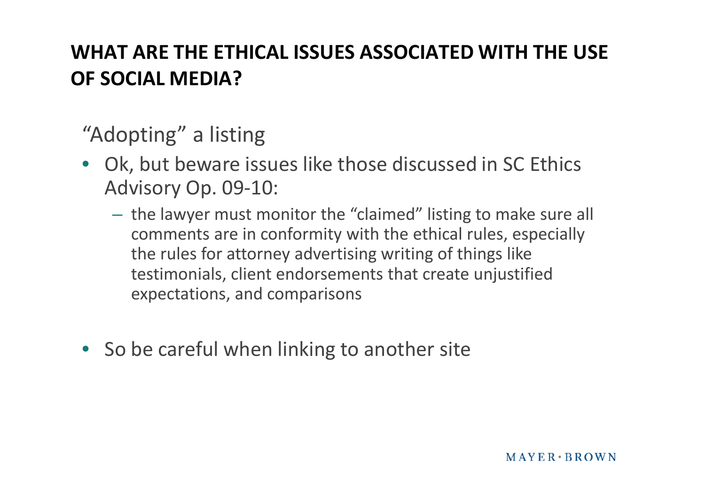"Adopting" a listing

- Ok, but beware issues like those discussed in SC Ethics Advisory Op. 09-10:
	- the lawyer must monitor the "claimed" listing to make sure all comments are in conformity with the ethical rules, especially the rules for attorney advertising writing of things like testimonials, client endorsements that create unjustified expectations, and comparisons
- So be careful when linking to another site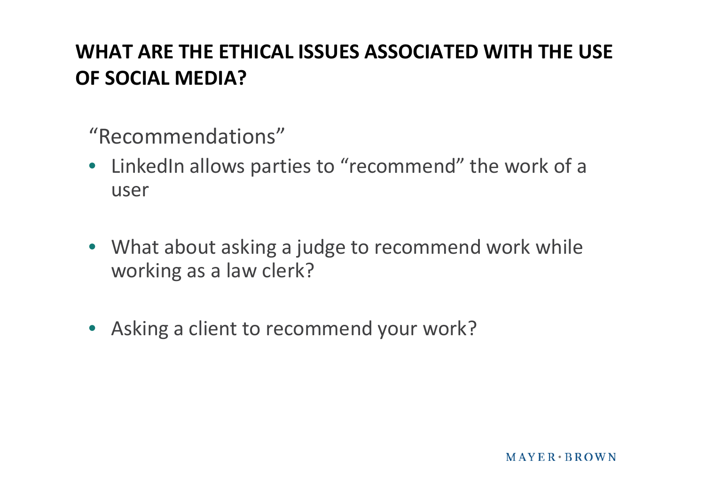"Recommendations"

- LinkedIn allows parties to "recommend" the work of a user
- What about asking a judge to recommend work while working as a law clerk?
- Asking a client to recommend your work?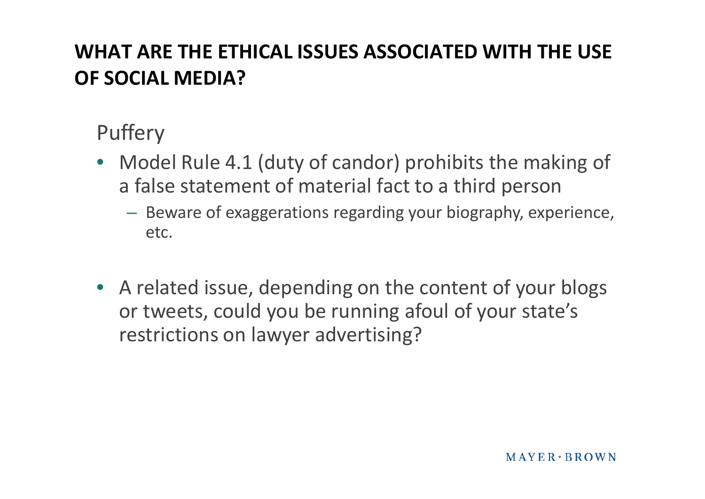# Puffery

- Model Rule 4.1 (duty of candor) prohibits the making of a false statement of material fact to a third person
	- Beware of exaggerations regarding your biography, experience, etc.
- A related issue, depending on the content of your blogs or tweets, could you be running afoul of your state's restrictions on lawyer advertising?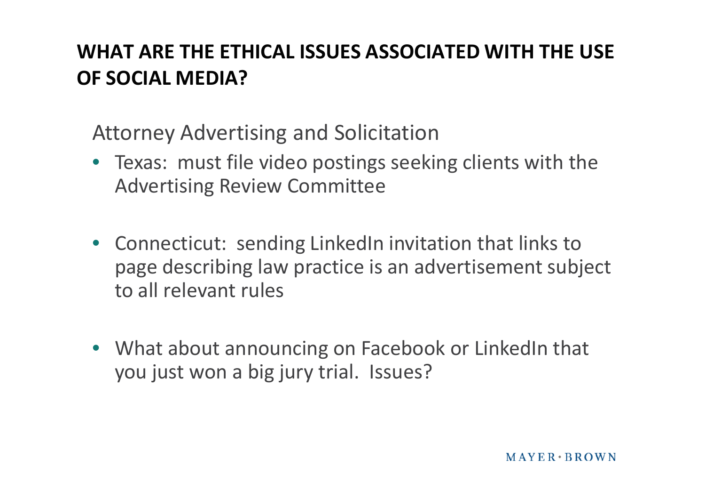Attorney Advertising and Solicitation

- Texas: must file video postings seeking clients with the Advertising Review Committee
- Connecticut: sending LinkedIn invitation that links to page describing law practice is an advertisement subject to all relevant rules
- What about announcing on Facebook or LinkedIn that you just won a big jury trial. Issues?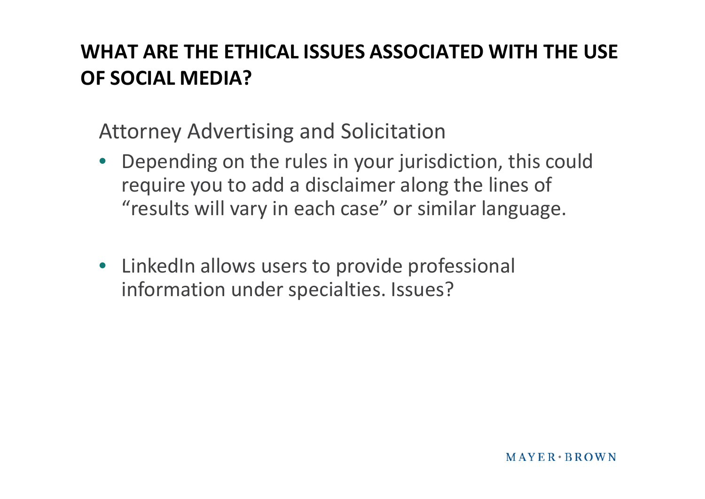Attorney Advertising and Solicitation

- Depending on the rules in your jurisdiction, this could require you to add a disclaimer along the lines of "results will vary in each case" or similar language.
- LinkedIn allows users to provide professional information under specialties. Issues?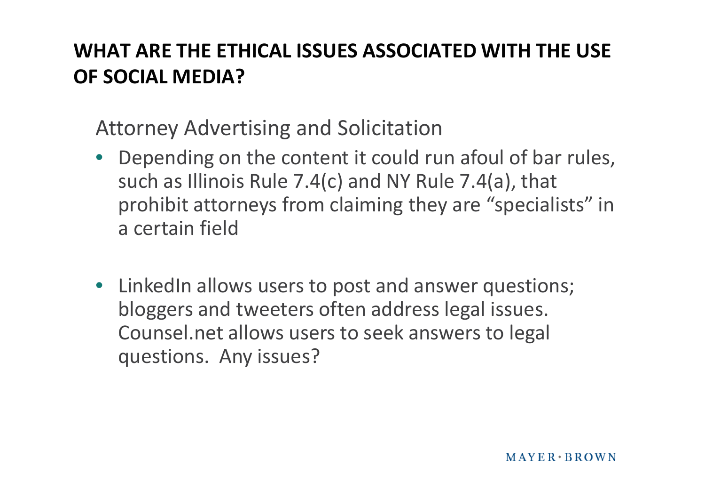Attorney Advertising and Solicitation

- Depending on the content it could run afoul of bar rules, such as Illinois Rule 7.4(c) and NY Rule 7.4(a), that prohibit attorneys from claiming they are "specialists" in a certain field
- LinkedIn allows users to post and answer questions; bloggers and tweeters often address legal issues. Counsel.net allows users to seek answers to legal questions. Any issues?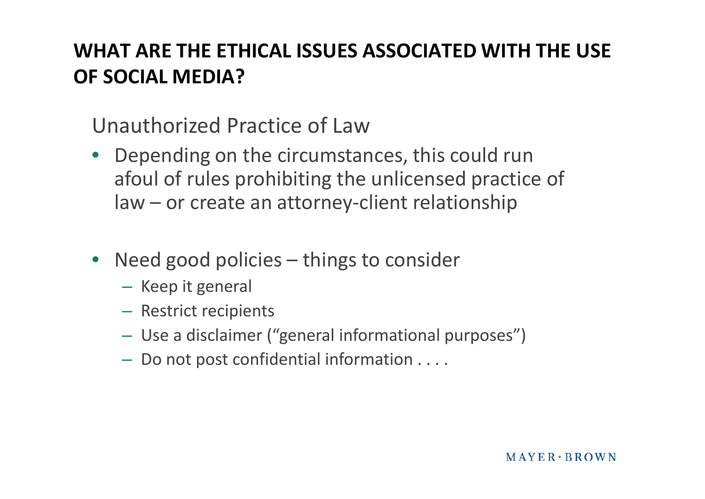Unauthorized Practice of Law

- Depending on the circumstances, this could run afoul of rules prohibiting the unlicensed practice of law – or create an attorney-client relationship
- Need good policies things to consider
	- Keep it general
	- Restrict recipients
	- Use a disclaimer ("general informational purposes")
	- Do not post confidential information . . . .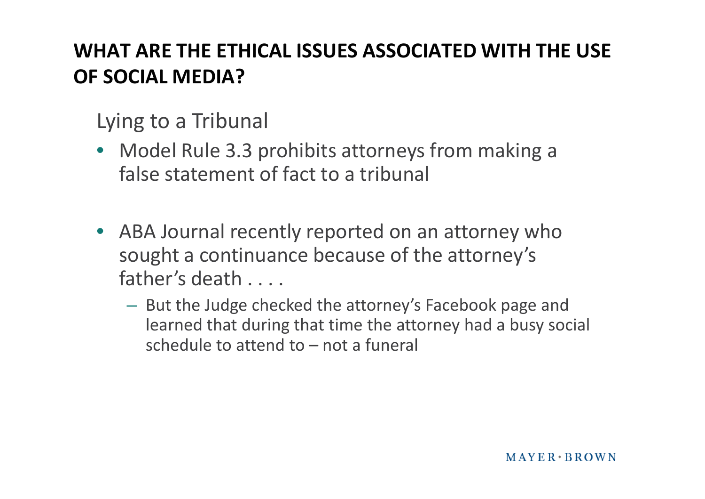Lying to a Tribunal

- Model Rule 3.3 prohibits attorneys from making a false statement of fact to a tribunal
- ABA Journal recently reported on an attorney who sought a continuance because of the attorney's father's death . . . .
	- But the Judge checked the attorney's Facebook page and learned that during that time the attorney had a busy social schedule to attend to – not a funeral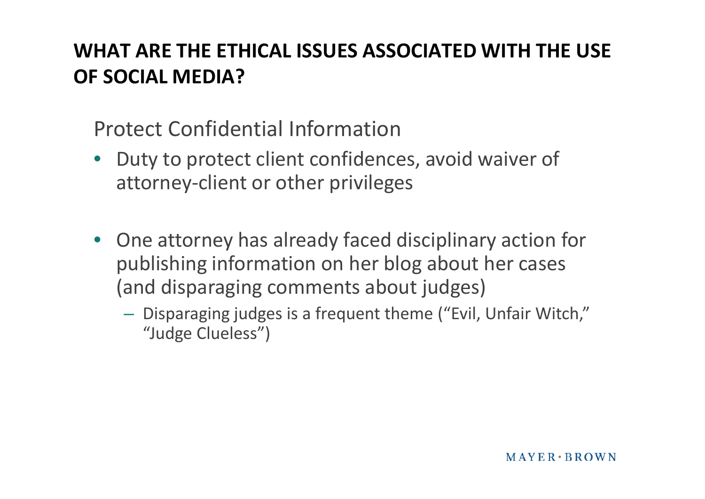Protect Confidential Information

- Duty to protect client confidences, avoid waiver of attorney-client or other privileges
- One attorney has already faced disciplinary action for publishing information on her blog about her cases (and disparaging comments about judges)
	- Disparaging judges is a frequent theme ("Evil, Unfair Witch," "Judge Clueless")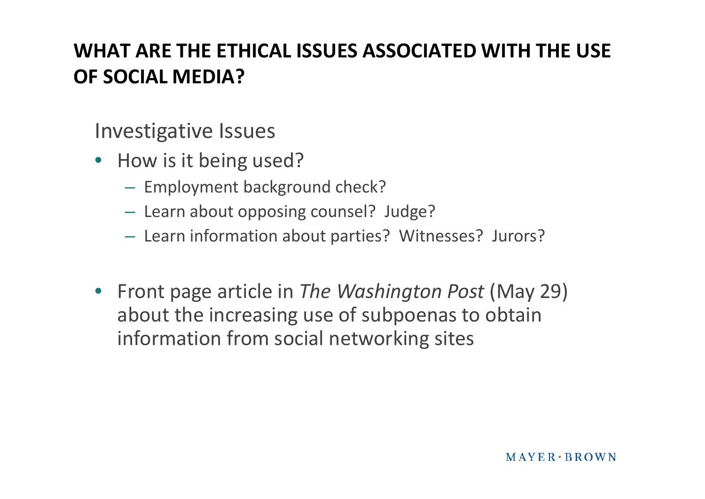Investigative Issues

- How is it being used?
	- Employment background check?
	- Learn about opposing counsel? Judge?
	- Learn information about parties? Witnesses? Jurors?
- Front page article in *The Washington Post* (May 29) about the increasing use of subpoenas to obtain information from social networking sites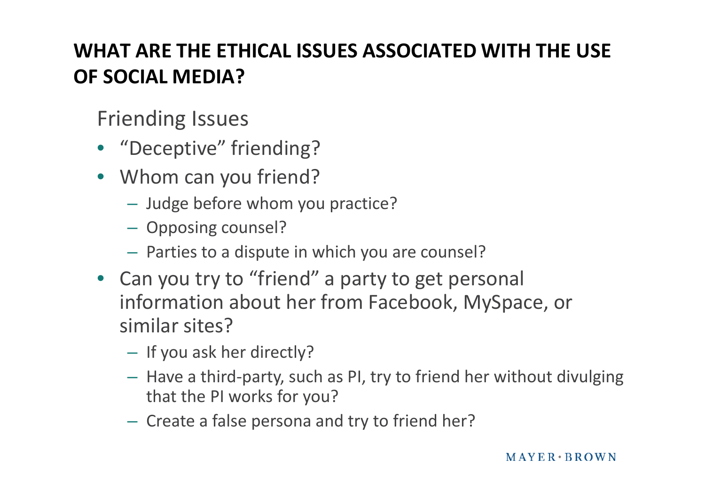- "Deceptive" friending?
- Whom can you friend?
	- Judge before whom you practice?
	- Opposing counsel?
	- Parties to a dispute in which you are counsel?
- Can you try to "friend" a party to get personal information about her from Facebook, MySpace, or similar sites?
	- If you ask her directly?
	- Have a third-party, such as PI, try to friend her without divulging that the PI works for you?
	- Create a false persona and try to friend her?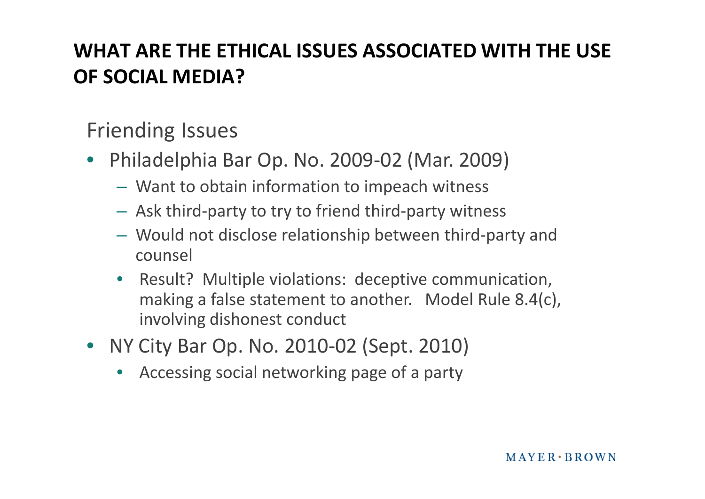- Philadelphia Bar Op. No. 2009-02 (Mar. 2009)
	- Want to obtain information to impeach witness
	- Ask third-party to try to friend third-party witness
	- Would not disclose relationship between third-party and counsel
	- Result? Multiple violations: deceptive communication, making a false statement to another. Model Rule 8.4(c), involving dishonest conduct
- NY City Bar Op. No. 2010-02 (Sept. 2010)
	- Accessing social networking page of a party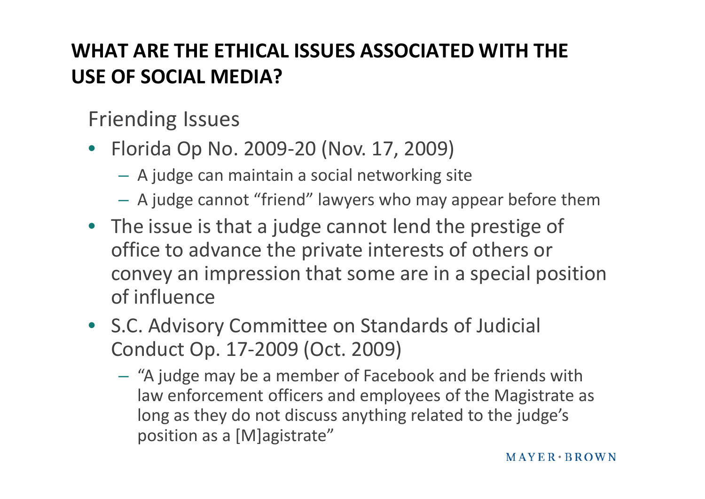- Florida Op No. 2009-20 (Nov. 17, 2009)
	- A judge can maintain a social networking site
	- A judge cannot "friend" lawyers who may appear before them
- The issue is that a judge cannot lend the prestige of office to advance the private interests of others or convey an impression that some are in a special position of influence
- S.C. Advisory Committee on Standards of Judicial Conduct Op. 17-2009 (Oct. 2009)
	- "A judge may be a member of Facebook and be friends with law enforcement officers and employees of the Magistrate as long as they do not discuss anything related to the judge's position as a [M]agistrate"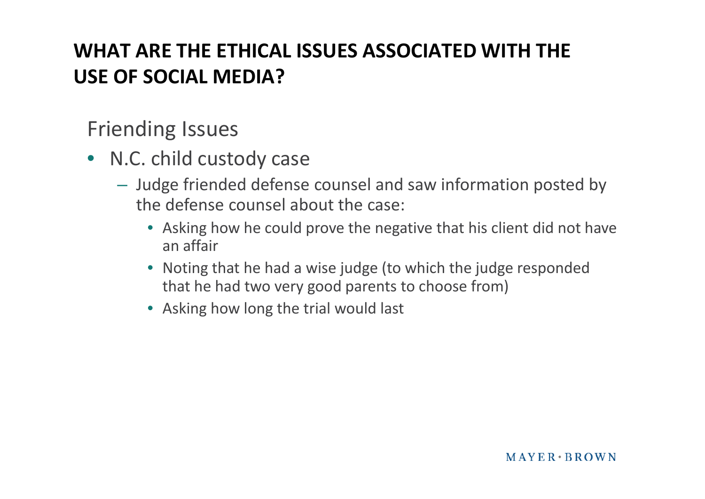- N.C. child custody case
	- Judge friended defense counsel and saw information posted by the defense counsel about the case:
		- Asking how he could prove the negative that his client did not have an affair
		- Noting that he had a wise judge (to which the judge responded that he had two very good parents to choose from)
		- Asking how long the trial would last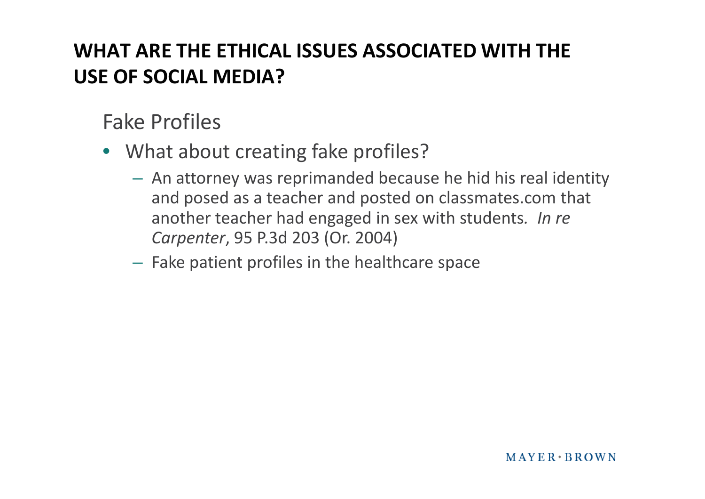Fake Profiles

- What about creating fake profiles?
	- An attorney was reprimanded because he hid his real identity and posed as a teacher and posted on classmates.com that another teacher had engaged in sex with students*. In re Carpenter*, 95 P.3d 203 (Or. 2004)
	- Fake patient profiles in the healthcare space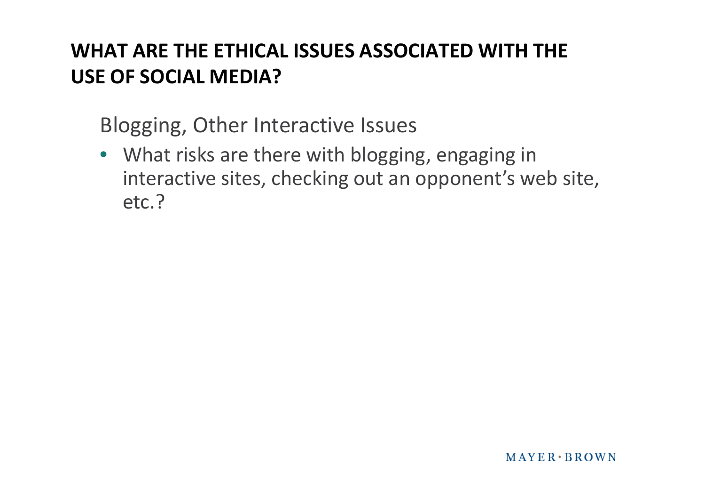Blogging, Other Interactive Issues

• What risks are there with blogging, engaging in interactive sites, checking out an opponent's web site, etc.?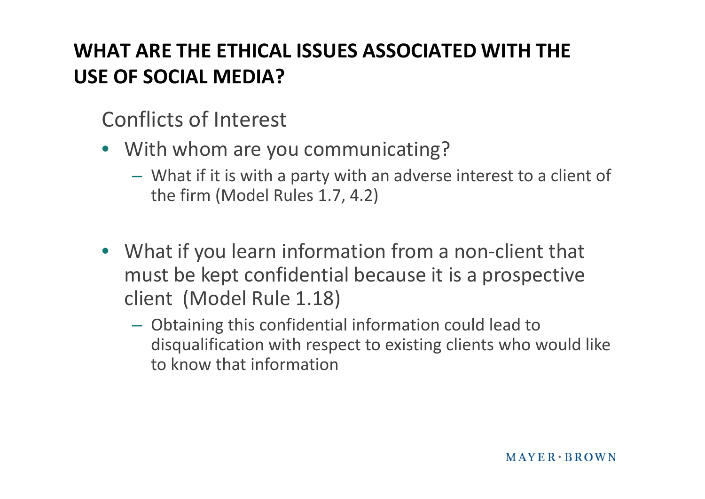Conflicts of Interest

- With whom are you communicating?
	- What if it is with a party with an adverse interest to a client of the firm (Model Rules 1.7, 4.2)
- What if you learn information from a non-client that must be kept confidential because it is a prospective client (Model Rule 1.18)
	- Obtaining this confidential information could lead to disqualification with respect to existing clients who would like to know that information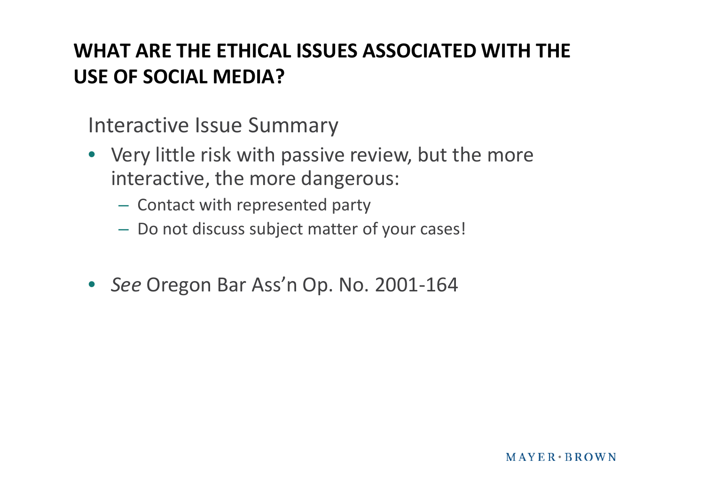Interactive Issue Summary

- Very little risk with passive review, but the more interactive, the more dangerous:
	- Contact with represented party
	- Do not discuss subject matter of your cases!
- *See* Oregon Bar Ass'n Op. No. 2001-164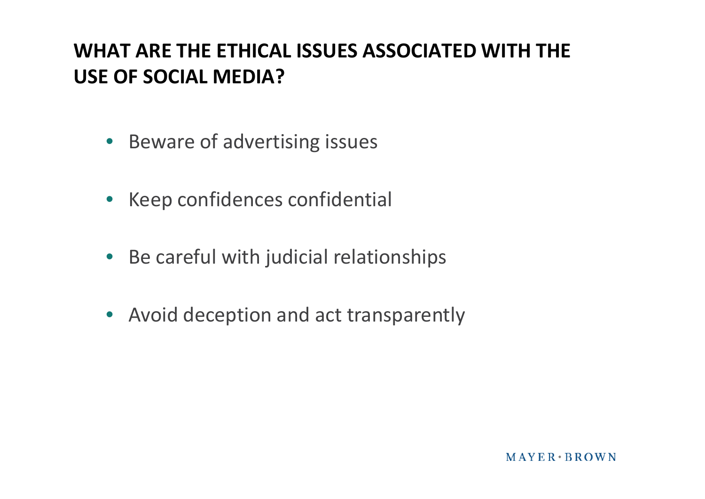- Beware of advertising issues
- Keep confidences confidential
- Be careful with judicial relationships
- Avoid deception and act transparently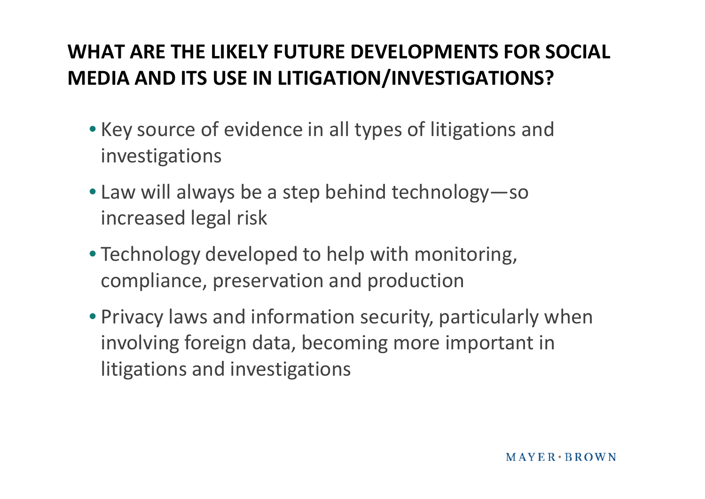#### **WHAT ARE THE LIKELY FUTURE DEVELOPMENTS FOR SOCIAL MEDIA AND ITS USE IN LITIGATION/INVESTIGATIONS?**

- Key source of evidence in all types of litigations and investigations
- Law will always be a step behind technology—so increased legal risk
- Technology developed to help with monitoring, compliance, preservation and production
- Privacy laws and information security, particularly when involving foreign data, becoming more important in litigations and investigations